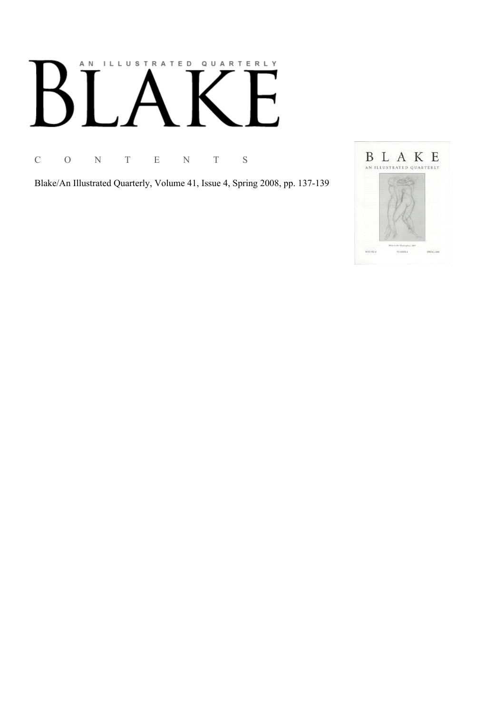# AN ILLUSTRATED QUARTERLY

C O N T E N T S

Blake/An Illustrated Quarterly, Volume 41, Issue 4, Spring 2008, pp. 137-139

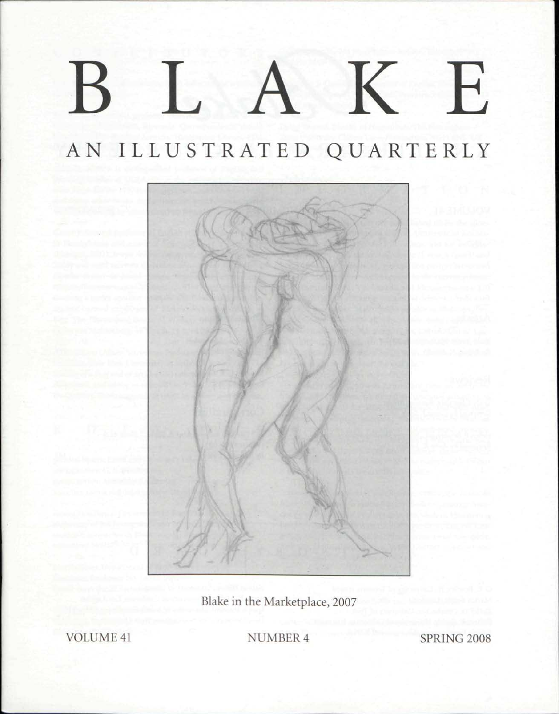## K E  $\mathbf B$

## AN ILLUSTRATED QUARTERLY



Blake in the Marketplace, 2007

VOLUME 41 NUMBER 4 SPRING 2008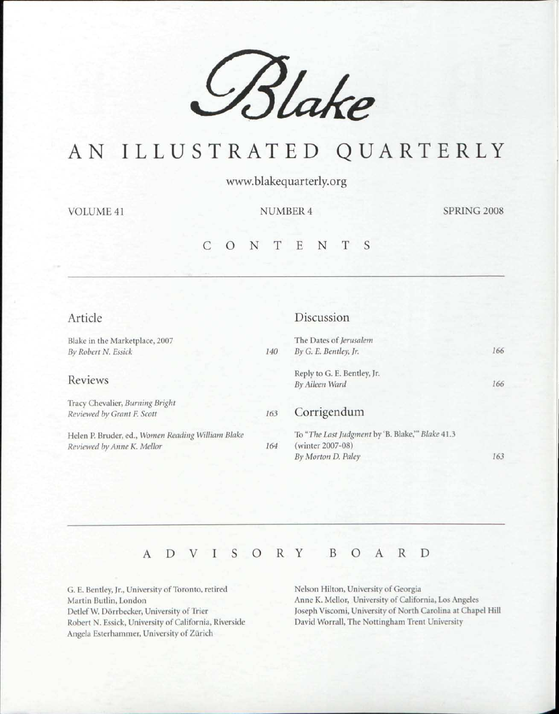

## AN ILLUSTRATED QUARTERLY

www.blakequarterly.org

VOLUME 41 NUMBER 4 SPRING 2008

#### CONTENT S

| Article                                                                         |     | Discussion                                                          |     |
|---------------------------------------------------------------------------------|-----|---------------------------------------------------------------------|-----|
| Blake in the Marketplace, 2007                                                  |     | The Dates of Jerusalem                                              |     |
| By Robert N. Essick                                                             | 140 | By G. E. Bentley, Jr.                                               | 166 |
| Reviews                                                                         |     | Reply to G. E. Bentley, Jr.<br>By Aileen Ward                       | 166 |
| Tracy Chevalier, Burning Bright<br>Reviewed by Grant F. Scott                   | 163 | Corrigendum                                                         |     |
| Helen P. Bruder, ed., Women Reading William Blake<br>Reviewed by Anne K. Mellor | 164 | To "The Last Judgment by 'B. Blake," Blake 41.3<br>(winter 2007-08) |     |
|                                                                                 |     | By Morton D. Paley                                                  | 163 |

### ADVISOR Y BOAR D

G. E. Bentley, Jr., University of Toronto, retired Martin Butlin, London Detlef W. Dörrbecker, University of Trier Robert N. Essick, University of California, Riverside Angela Esterhammer, University of Zürich

Nelson Hilton, University of Georgia Anne K. Mellor, University of California, Los Angeles Joseph Viscomi, University of North Carolina at Chapel Hill David Worrall, The Nottingham Trent University